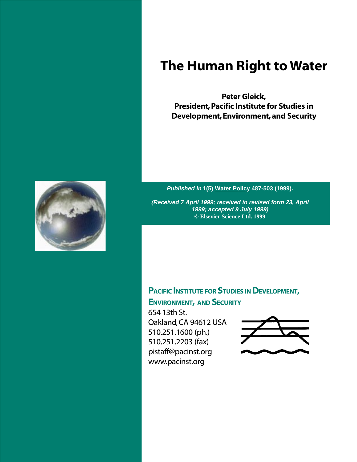# The Human Right to Water

Peter Gleick, President, Pacific Institute for Studies in Development, Environment, and Security



#### **Published in 1(5) Water Policy 487-503 (1999).**

**(Received 7 April 1999; received in revised form 23, April 1999; accepted 9 July 1999) © Elsevier Science Ltd. 1999**

# PACIFIC INSTITUTE FOR STUDIES IN DEVELOPMENT, ENVIRONMENT, AND SECURITY

654 13th St. Oakland, CA 94612 USA 510.251.1600 (ph.) 510.251.2203 (fax) pistaff@pacinst.org www.pacinst.org

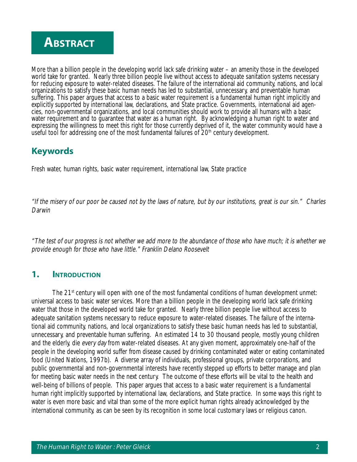# **ABSTRACT**

More than a billion people in the developing world lack safe drinking water – an amenity those in the developed world take for granted. Nearly three billion people live without access to adequate sanitation systems necessary for reducing exposure to water-related diseases. The failure of the international aid community, nations, and local organizations to satisfy these basic human needs has led to substantial, unnecessary, and preventable human suffering. This paper argues that access to a basic water requirement is a fundamental human right implicitly and explicitly supported by international law, declarations, and State practice. Governments, international aid agencies, non-governmental organizations, and local communities should work to provide all humans with a basic water requirement and to guarantee that water as a human right. By acknowledging a human right to water and expressing the willingness to meet this right for those currently deprived of it, the water community would have a useful tool for addressing one of the most fundamental failures of  $20<sup>th</sup>$  century development.

# Keywords

Fresh water, human rights, basic water requirement, international law, State practice

"If the misery of our poor be caused not by the laws of nature, but by our institutions, great is our sin." Charles Darwin

"The test of our progress is not whether we add more to the abundance of those who have much; it is whether we provide enough for those who have little." Franklin Delano Roosevelt

## 1. INTRODUCTION

The  $21<sup>st</sup>$  century will open with one of the most fundamental conditions of human development unmet: universal access to basic water services. More than a billion people in the developing world lack safe drinking water that those in the developed world take for granted. Nearly three billion people live without access to adequate sanitation systems necessary to reduce exposure to water-related diseases. The failure of the international aid community, nations, and local organizations to satisfy these basic human needs has led to substantial, unnecessary, and preventable human suffering. An estimated 14 to 30 thousand people, mostly young children and the elderly, die every day from water-related diseases. At any given moment, approximately one-half of the people in the developing world suffer from disease caused by drinking contaminated water or eating contaminated food (United Nations, 1997b). A diverse array of individuals, professional groups, private corporations, and public governmental and non-governmental interests have recently stepped up efforts to better manage and plan for meeting basic water needs in the next century. The outcome of these efforts will be vital to the health and well-being of billions of people. This paper argues that access to a basic water requirement is a fundamental human right implicitly supported by international law, declarations, and State practice. In some ways this right to water is even more basic and vital than some of the more explicit human rights already acknowledged by the international community, as can be seen by its recognition in some local customary laws or religious canon.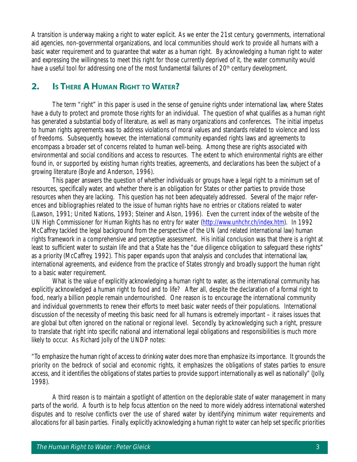A transition is underway making a right to water explicit. As we enter the 21st century, governments, international aid agencies, non-governmental organizations, and local communities should work to provide all humans with a basic water requirement and to guarantee that water as a human right. By acknowledging a human right to water and expressing the willingness to meet this right for those currently deprived of it, the water community would have a useful tool for addressing one of the most fundamental failures of 20<sup>th</sup> century development.

## 2. **IS THERE A HUMAN RIGHT TO WATER?**

The term "right" in this paper is used in the sense of genuine rights under international law, where States have a duty to protect and promote those rights for an individual. The question of what qualifies as a human right has generated a substantial body of literature, as well as many organizations and conferences. The initial impetus to human rights agreements was to address violations of moral values and standards related to violence and loss of freedoms. Subsequently, however, the international community expanded rights laws and agreements to encompass a broader set of concerns related to human well-being. Among these are rights associated with environmental and social conditions and access to resources. The extent to which environmental rights are either found in, or supported by, existing human rights treaties, agreements, and declarations has been the subject of a growing literature (Boyle and Anderson, 1996).

This paper answers the question of whether individuals or groups have a legal right to a minimum set of resources, specifically water, and whether there is an obligation for States or other parties to provide those resources when they are lacking. This question has not been adequately addressed. Several of the major references and bibliographies related to the issue of human rights have no entries or citations related to water (Lawson, 1991; United Nations, 1993; Steiner and Alson, 1996). Even the current index of the website of the UN High Commissioner for Human Rights has no entry for water (http://www.unhchr.ch/index.htm). In 1992 McCaffrey tackled the legal background from the perspective of the UN (and related international law) human rights framework in a comprehensive and perceptive assessment. His initial conclusion was that there is a right at least to sufficient water to sustain life and that a State has the "due diligence obligation to safeguard these rights" as a priority (McCaffrey, 1992). This paper expands upon that analysis and concludes that international law, international agreements, and evidence from the practice of States strongly and broadly support the human right to a basic water requirement.

What is the value of explicitly acknowledging a human right to water, as the international community has explicitly acknowledged a human right to food and to life? After all, despite the declaration of a formal right to food, nearly a billion people remain undernourished. One reason is to encourage the international community and individual governments to renew their efforts to meet basic water needs of their populations. International discussion of the necessity of meeting this basic need for all humans is extremely important – it raises issues that are global but often ignored on the national or regional level. Secondly, by acknowledging such a right, pressure to translate that right into specific national and international legal obligations and responsibilities is much more likely to occur. As Richard Jolly of the UNDP notes:

"To emphasize the human right of access to drinking water does more than emphasize its importance. It grounds the priority on the bedrock of social and economic rights, it emphasizes the obligations of states parties to ensure access, and it identifies the obligations of states parties to provide support internationally as well as nationally" (Jolly, 1998).

A third reason is to maintain a spotlight of attention on the deplorable state of water management in many parts of the world. A fourth is to help focus attention on the need to more widely address international watershed disputes and to resolve conflicts over the use of shared water by identifying minimum water requirements and allocations for all basin parties. Finally, explicitly acknowledging a human right to water can help set specific priorities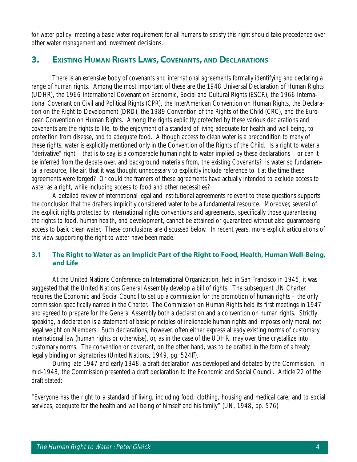for water policy: meeting a basic water requirement for all humans to satisfy this right should take precedence over other water management and investment decisions.

## 3. EXISTING HUMAN RIGHTS LAWS, COVENANTS, AND DECLARATIONS

There is an extensive body of covenants and international agreements formally identifying and declaring a range of human rights. Among the most important of these are the 1948 Universal Declaration of Human Rights (UDHR), the 1966 International Covenant on Economic, Social and Cultural Rights (ESCR), the 1966 International Covenant on Civil and Political Rights (CPR), the InterAmerican Convention on Human Rights, the Declaration on the Right to Development (DRD), the 1989 Convention of the Rights of the Child (CRC), and the European Convention on Human Rights. Among the rights explicitly protected by these various declarations and covenants are the rights to life, to the enjoyment of a standard of living adequate for health and well-being, to protection from disease, and to adequate food. Although access to clean water is a precondition to many of these rights, water is explicitly mentioned only in the Convention of the Rights of the Child. Is a right to water a "derivative" right – that is to say, is a comparable human right to water implied by these declarations – or can it be inferred from the debate over, and background materials from, the existing Covenants? Is water so fundamental a resource, like air, that it was thought unnecessary to explicitly include reference to it at the time these agreements were forged? Or could the framers of these agreements have actually intended to exclude access to water as a right, while including access to food and other necessities?

A detailed review of international legal and institutional agreements relevant to these questions supports the conclusion that the drafters implicitly considered water to be a fundamental resource. Moreover, several of the explicit rights protected by international rights conventions and agreements, specifically those guaranteeing the rights to food, human health, and development, cannot be attained or guaranteed without also guaranteeing access to basic clean water. These conclusions are discussed below. In recent years, more explicit articulations of this view supporting the right to water have been made.

### 3.1 The Right to Water as an Implicit Part of the Right to Food, Health, Human Well-Being, and Life

At the United Nations Conference on International Organization, held in San Francisco in 1945, it was suggested that the United Nations General Assembly develop a bill of rights. The subsequent UN Charter requires the Economic and Social Council to set up a commission for the promotion of human rights – the only commission specifically named in the Charter. The Commission on Human Rights held its first meetings in 1947 and agreed to prepare for the General Assembly both a declaration and a convention on human rights. Strictly speaking, a declaration is a statement of basic principles of inalienable human rights and imposes only moral, not legal weight on Members. Such declarations, however, often either express already existing norms of customary international law (human rights or otherwise), or, as in the case of the UDHR, may over time crystallize into customary norms. The convention or covenant, on the other hand, was to be drafted in the form of a treaty legally binding on signatories (United Nations, 1949, pg. 524ff).

During late 1947 and early 1948, a draft declaration was developed and debated by the Commission. In mid-1948, the Commission presented a draft declaration to the Economic and Social Council. Article 22 of the draft stated:

"Everyone has the right to a standard of living, including food, clothing, housing and medical care, and to social services, adequate for the health and well being of himself and his family" (UN, 1948, pp. 576)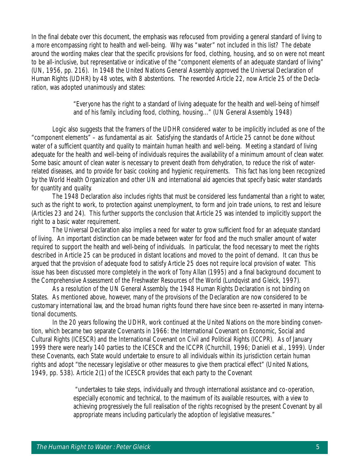In the final debate over this document, the emphasis was refocused from providing a general standard of living to a more encompassing right to health and well-being. Why was "water" not included in this list? The debate around the wording makes clear that the specific provisions for food, clothing, housing, and so on were not meant to be all-inclusive, but representative or indicative of the "component elements of an adequate standard of living" (UN, 1956, pp. 216). In 1948 the United Nations General Assembly approved the Universal Declaration of Human Rights (UDHR) by 48 votes, with 8 abstentions. The reworded Article 22, now Article 25 of the Declaration, was adopted unanimously and states:

> "Everyone has the right to a standard of living adequate for the health and well-being of himself and of his family, including food, clothing, housing..." (UN General Assembly, 1948)

Logic also suggests that the framers of the UDHR considered water to be implicitly included as one of the "component elements" – as fundamental as air. Satisfying the standards of Article 25 cannot be done without water of a sufficient quantity and quality to maintain human health and well-being. Meeting a standard of living adequate for the health and well-being of individuals requires the availability of a minimum amount of clean water. Some basic amount of clean water is necessary to prevent death from dehydration, to reduce the risk of waterrelated diseases, and to provide for basic cooking and hygienic requirements. This fact has long been recognized by the World Health Organization and other UN and international aid agencies that specify basic water standards for quantity and quality.

The 1948 Declaration also includes rights that must be considered less fundamental than a right to water, such as the right to work, to protection against unemployment, to form and join trade unions, to rest and leisure (Articles 23 and 24). This further supports the conclusion that Article 25 was intended to implicitly support the right to a basic water requirement.

The Universal Declaration also implies a need for water to grow sufficient food for an adequate standard of living. An important distinction can be made between water for food and the much smaller amount of water required to support the health and well-being of individuals. In particular, the food necessary to meet the rights described in Article 25 can be produced in distant locations and moved to the point of demand. It can thus be argued that the provision of adequate food to satisfy Article 25 does not require local provision of water. This issue has been discussed more completely in the work of Tony Allan (1995) and a final background document to the Comprehensive Assessment of the Freshwater Resources of the World (Lundqvist and Gleick, 1997).

As a resolution of the UN General Assembly, the 1948 Human Rights Declaration is not binding on States. As mentioned above, however, many of the provisions of the Declaration are now considered to be customary international law, and the broad human rights found there have since been re-asserted in many international documents.

In the 20 years following the UDHR, work continued at the United Nations on the more binding convention, which became two separate Covenants in 1966: the International Covenant on Economic, Social and Cultural Rights (ICESCR) and the International Covenant on Civil and Political Rights (ICCPR). As of January 1999 there were nearly 140 parties to the ICESCR and the ICCPR (Churchill, 1996; Danieli et al., 1999). Under these Covenants, each State would undertake to ensure to all individuals within its jurisdiction certain human rights and adopt "the necessary legislative or other measures to give them practical effect" (United Nations, 1949, pp. 538). Article 2(1) of the ICESCR provides that each party to the Covenant

> "undertakes to take steps, individually and through international assistance and co-operation, especially economic and technical, to the maximum of its available resources, with a view to achieving progressively the full realisation of the rights recognised by the present Covenant by all appropriate means including particularly the adoption of legislative measures."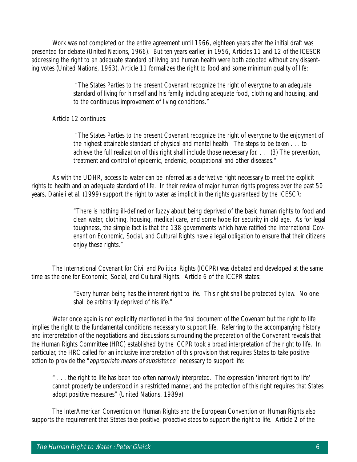Work was not completed on the entire agreement until 1966, eighteen years after the initial draft was presented for debate (United Nations, 1966). But ten years earlier, in 1956, Articles 11 and 12 of the ICESCR addressing the right to an adequate standard of living and human health were both adopted without any dissenting votes (United Nations, 1963). Article 11 formalizes the right to food and some minimum quality of life:

> "The States Parties to the present Covenant recognize the right of everyone to an adequate standard of living for himself and his family, including adequate food, clothing and housing, and to the continuous improvement of living conditions."

Article 12 continues:

 "The States Parties to the present Covenant recognize the right of everyone to the enjoyment of the highest attainable standard of physical and mental health. The steps to be taken . . . to achieve the full realization of this right shall include those necessary for. . . (3) The prevention, treatment and control of epidemic, endemic, occupational and other diseases."

As with the UDHR, access to water can be inferred as a derivative right necessary to meet the explicit rights to health and an adequate standard of life. In their review of major human rights progress over the past 50 years, Danieli et al. (1999) support the right to water as implicit in the rights guaranteed by the ICESCR:

> "There is nothing ill-defined or fuzzy about being deprived of the basic human rights to food and clean water, clothing, housing, medical care, and some hope for security in old age. As for legal toughness, the simple fact is that the 138 governments which have ratified the International Covenant on Economic, Social, and Cultural Rights have a legal obligation to ensure that their citizens enjoy these rights."

The International Covenant for Civil and Political Rights (ICCPR) was debated and developed at the same time as the one for Economic, Social, and Cultural Rights. Article 6 of the ICCPR states:

> "Every human being has the inherent right to life. This right shall be protected by law. No one shall be arbitrarily deprived of his life."

Water once again is not explicitly mentioned in the final document of the Covenant but the right to life implies the right to the fundamental conditions necessary to support life. Referring to the accompanying history and interpretation of the negotiations and discussions surrounding the preparation of the Convenant reveals that the Human Rights Committee (HRC) established by the ICCPR took a broad interpretation of the right to life. In particular, the HRC called for an inclusive interpretation of this provision that requires States to take positive action to provide the "appropriate means of subsistence" necessary to support life:

" . . . the right to life has been too often narrowly interpreted. The expression 'inherent right to life' cannot properly be understood in a restricted manner, and the protection of this right requires that States adopt positive measures" (United Nations, 1989a).

The InterAmerican Convention on Human Rights and the European Convention on Human Rights also supports the requirement that States take positive, proactive steps to support the right to life. Article 2 of the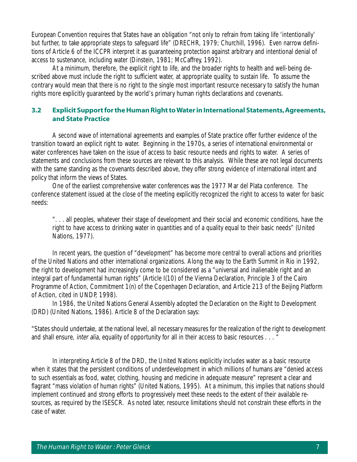European Convention requires that States have an obligation "not only to refrain from taking life 'intentionally' but further, to take appropriate steps to safeguard life" (DRECHR, 1979; Churchill, 1996). Even narrow definitions of Article 6 of the ICCPR interpret it as guaranteeing protection against arbitrary and intentional denial of access to sustenance, including water (Dinstein, 1981; McCaffrey, 1992).

At a minimum, therefore, the explicit right to life, and the broader rights to health and well-being described above must include the right to sufficient water, at appropriate quality, to sustain life. To assume the contrary would mean that there is no right to the single most important resource necessary to satisfy the human rights more explicitly guaranteed by the world's primary human rights declarations and covenants.

#### 3.2 Explicit Support for the Human Right to Water in International Statements, Agreements, and State Practice

A second wave of international agreements and examples of State practice offer further evidence of the transition toward an explicit right to water. Beginning in the 1970s, a series of international environmental or water conferences have taken on the issue of access to basic resource needs and rights to water. A series of statements and conclusions from these sources are relevant to this analysis. While these are not legal documents with the same standing as the covenants described above, they offer strong evidence of international intent and policy that inform the views of States.

One of the earliest comprehensive water conferences was the 1977 Mar del Plata conference. The conference statement issued at the close of the meeting explicitly recognized the right to access to water for basic needs:

". . . all peoples, whatever their stage of development and their social and economic conditions, have the right to have access to drinking water in quantities and of a quality equal to their basic needs" (United Nations, 1977).

In recent years, the question of "development" has become more central to overall actions and priorities of the United Nations and other international organizations. Along the way to the Earth Summit in Rio in 1992, the right to development had increasingly come to be considered as a "universal and inalienable right and an integral part of fundamental human rights" (Article I(10) of the Vienna Declaration, Principle 3 of the Cairo Programme of Action, Commitment 1(n) of the Copenhagen Declaration, and Article 213 of the Beijing Platform of Action, cited in UNDP, 1998).

In 1986, the United Nations General Assembly adopted the Declaration on the Right to Development (DRD) (United Nations, 1986). Article 8 of the Declaration says:

"States should undertake, at the national level, all necessary measures for the realization of the right to development and shall ensure, *inter alia*, equality of opportunity for all in their access to basic resources . . . "

In interpreting Article 8 of the DRD, the United Nations explicitly includes water as a basic resource when it states that the persistent conditions of underdevelopment in which millions of humans are "denied access to such essentials as food, water, clothing, housing and medicine in adequate measure" represent a clear and flagrant "mass violation of human rights" (United Nations, 1995). At a minimum, this implies that nations should implement continued and strong efforts to progressively meet these needs to the extent of their available resources, as required by the ISESCR. As noted later, resource limitations should not constrain these efforts in the case of water.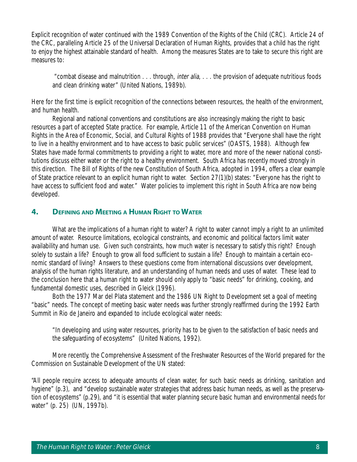Explicit recognition of water continued with the 1989 Convention of the Rights of the Child (CRC). Article 24 of the CRC, paralleling Article 25 of the Universal Declaration of Human Rights, provides that a child has the right to enjoy the highest attainable standard of health. Among the measures States are to take to secure this right are measures to:

 "combat disease and malnutrition . . . through, inter alia, . . . the provision of adequate nutritious foods and clean drinking water" (United Nations, 1989b).

Here for the first time is explicit recognition of the connections between resources, the health of the environment, and human health.

Regional and national conventions and constitutions are also increasingly making the right to basic resources a part of accepted State practice. For example, Article 11 of the American Convention on Human Rights in the Area of Economic, Social, and Cultural Rights of 1988 provides that "Everyone shall have the right to live in a healthy environment and to have access to basic public services" (OASTS, 1988). Although few States have made formal commitments to providing a right to water, more and more of the newer national constitutions discuss either water or the right to a healthy environment. South Africa has recently moved strongly in this direction. The Bill of Rights of the new Constitution of South Africa, adopted in 1994, offers a clear example of State practice relevant to an explicit human right to water. Section 27(1)(b) states: "Everyone has the right to have access to sufficient food and water." Water policies to implement this right in South Africa are now being developed.

### 4. DEFINING AND MEETING A HUMAN RIGHT TO WATER

What are the implications of a human right to water? A right to water cannot imply a right to an unlimited amount of water. Resource limitations, ecological constraints, and economic and political factors limit water availability and human use. Given such constraints, how much water is necessary to satisfy this right? Enough solely to sustain a life? Enough to grow all food sufficient to sustain a life? Enough to maintain a certain economic standard of living? Answers to these questions come from international discussions over development, analysis of the human rights literature, and an understanding of human needs and uses of water. These lead to the conclusion here that a human right to water should only apply to "basic needs" for drinking, cooking, and fundamental domestic uses, described in Gleick (1996).

Both the 1977 Mar del Plata statement and the 1986 UN Right to Development set a goal of meeting "basic" needs. The concept of meeting basic water needs was further strongly reaffirmed during the 1992 Earth Summit in Rio de Janeiro and expanded to include ecological water needs:

"In developing and using water resources, priority has to be given to the satisfaction of basic needs and the safeguarding of ecosystems" (United Nations, 1992).

More recently, the Comprehensive Assessment of the Freshwater Resources of the World prepared for the Commission on Sustainable Development of the UN stated:

"All people require access to adequate amounts of clean water, for such basic needs as drinking, sanitation and hygiene" (p.3), and "develop sustainable water strategies that address basic human needs, as well as the preservation of ecosystems" (p.29), and "it is essential that water planning secure basic human and environmental needs for water" (p. 25) (UN, 1997b).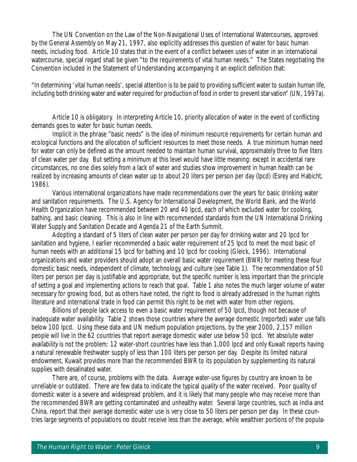The UN Convention on the Law of the Non-Navigational Uses of International Watercourses, approved by the General Assembly on May 21, 1997, also explicitly addresses this question of water for basic human needs, including food. Article 10 states that in the event of a conflict between uses of water in an international watercourse, special regard shall be given "to the requirements of vital human needs." The States negotiating the Convention included in the Statement of Understanding accompanying it an explicit definition that:

"In determining 'vital human needs', special attention is to be paid to providing sufficient water to sustain human life, including both drinking water and water required for production of food in order to prevent starvation" (UN, 1997a).

Article 10 is obligatory. In interpreting Article 10, priority allocation of water in the event of conflicting demands goes to water for basic human needs.

Implicit in the phrase "basic needs" is the idea of minimum resource requirements for certain human and ecological functions and the allocation of sufficient resources to meet those needs. A true minimum human need for water can only be defined as the amount needed to maintain human survival, approximately three to five liters of clean water per day. But setting a minimum at this level would have little meaning: except in accidental rare circumstances, no one dies solely from a lack of water and studies show improvement in human health can be realized by increasing amounts of clean water up to about 20 liters per person per day (lpcd) (Esrey and Habicht, 1986).

Various international organizations have made recommendations over the years for basic drinking water and sanitation requirements. The U.S. Agency for International Development, the World Bank, and the World Health Organization have recommended between 20 and 40 lpcd, each of which excluded water for cooking, bathing, and basic cleaning. This is also in line with recommended standards from the UN International Drinking Water Supply and Sanitation Decade and Agenda 21 of the Earth Summit.

Adopting a standard of 5 liters of clean water per person per day for drinking water and 20 lpcd for sanitation and hygiene, I earlier recommended a basic water requirement of 25 lpcd to meet the most basic of human needs with an additional 15 lpcd for bathing and 10 lpcd for cooking (Gleick, 1996). International organizations and water providers should adopt an overall basic water requirement (BWR) for meeting these four domestic basic needs, independent of climate, technology, and culture (see Table 1). The recommendation of 50 liters per person per day is justifiable and appropriate, but the specific number is less important than the principle of setting a goal and implementing actions to reach that goal. Table 1 also notes the much larger volume of water necessary for growing food, but as others have noted, the right to food is already addressed in the human rights literature and international trade in food can permit this right to be met with water from other regions.

Billions of people lack access to even a basic water requirement of 50 lpcd, though not because of inadequate water availability. Table 2 shows those countries where the average domestic (reported) water use falls below 100 lpcd. Using these data and UN medium population projections, by the year 2000, 2,157 million people will live in the 62 countries that report average domestic water use below 50 lpcd. Yet absolute water availability is not the problem: 12 water-short countries have less than 1,000 lpcd and only Kuwait reports having a natural renewable freshwater supply of less than 100 liters per person per day. Despite its limited natural endowment, Kuwait provides more than the recommended BWR to its population by supplementing its natural supplies with desalinated water.

There are, of course, problems with the data. Average water-use figures by country are known to be unreliable or outdated. There are few data to indicate the typical quality of the water received. Poor quality of domestic water is a severe and widespread problem, and it is likely that many people who may receive more than the recommended BWR are getting contaminated and unhealthy water. Several large countries, such as India and China, report that their average domestic water use is very close to 50 liters per person per day. In these countries large segments of populations no doubt receive less than the average, while wealthier portions of the popula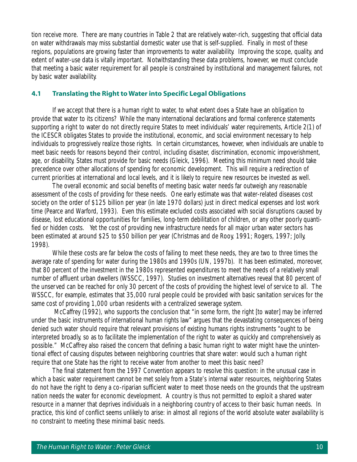tion receive more. There are many countries in Table 2 that are relatively water-rich, suggesting that official data on water withdrawals may miss substantial domestic water use that is self-supplied. Finally, in most of these regions, populations are growing faster than improvements to water availability. Improving the scope, quality, and extent of water-use data is vitally important. Notwithstanding these data problems, however, we must conclude that meeting a basic water requirement for all people is constrained by institutional and management failures, not by basic water availability.

#### 4.1 Translating the Right to Water into Specific Legal Obligations

If we accept that there is a human right to water, to what extent does a State have an obligation to provide that water to its citizens? While the many international declarations and formal conference statements supporting a right to water do not directly require States to meet individuals' water requirements, Article 2(1) of the ICESCR obligates States to provide the institutional, economic, and social environment necessary to help individuals to progressively realize those rights. In certain circumstances, however, when individuals are unable to meet basic needs for reasons beyond their control, including disaster, discrimination, economic impoverishment, age, or disability, States must provide for basic needs (Gleick, 1996). Meeting this minimum need should take precedence over other allocations of spending for economic development. This will require a redirection of current priorities at international and local levels, and it is likely to require new resources be invested as well.

The overall economic and social benefits of meeting basic water needs far outweigh any reasonable assessment of the costs of providing for these needs. One early estimate was that water-related diseases cost society on the order of \$125 billion per year (in late 1970 dollars) just in direct medical expenses and lost work time (Pearce and Warford, 1993). Even this estimate excluded costs associated with social disruptions caused by disease, lost educational opportunities for families, long-term debilitation of children, or any other poorly quantified or hidden costs. Yet the cost of providing new infrastructure needs for all major urban water sectors has been estimated at around \$25 to \$50 billion per year (Christmas and de Rooy, 1991; Rogers, 1997; Jolly, 1998).

While these costs are far below the costs of failing to meet these needs, they are two to three times the average rate of spending for water during the 1980s and 1990s (UN, 1997b). It has been estimated, moreover, that 80 percent of the investment in the 1980s represented expenditures to meet the needs of a relatively small number of affluent urban dwellers (WSSCC, 1997). Studies on investment alternatives reveal that 80 percent of the unserved can be reached for only 30 percent of the costs of providing the highest level of service to all. The WSSCC, for example, estimates that 35,000 rural people could be provided with basic sanitation services for the same cost of providing 1,000 urban residents with a centralized sewerage system.

 McCaffrey (1992), who supports the conclusion that "in some form, the right [to water] may be inferred under the basic instruments of international human rights law" argues that the devastating consequences of being denied such water should require that relevant provisions of existing humans rights instruments "ought to be interpreted broadly, so as to facilitate the implementation of the right to water as quickly and comprehensively as possible." McCaffrey also raised the concern that defining a basic human right to water might have the unintentional effect of causing disputes between neighboring countries that share water: would such a human right require that one State has the right to receive water from another to meet this basic need?

The final statement from the 1997 Convention appears to resolve this question: in the unusual case in which a basic water requirement cannot be met solely from a State's internal water resources, neighboring States do not have the right to deny a co-riparian sufficient water to meet those needs on the grounds that the upstream nation needs the water for economic development. A country is thus not permitted to exploit a shared water resource in a manner that deprives individuals in a neighboring country of access to their basic human needs. In practice, this kind of conflict seems unlikely to arise: in almost all regions of the world absolute water availability is no constraint to meeting these minimal basic needs.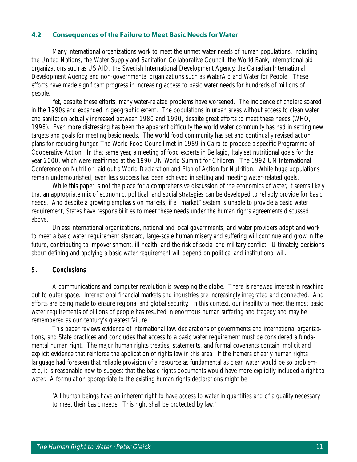#### 4.2 Consequences of the Failure to Meet Basic Needs for Water

Many international organizations work to meet the unmet water needs of human populations, including the United Nations, the Water Supply and Sanitation Collaborative Council, the World Bank, international aid organizations such as US AID, the Swedish International Development Agency, the Canadian International Development Agency, and non-governmental organizations such as WaterAid and Water for People. These efforts have made significant progress in increasing access to basic water needs for hundreds of millions of people.

Yet, despite these efforts, many water-related problems have worsened. The incidence of cholera soared in the 1990s and expanded in geographic extent. The populations in urban areas without access to clean water and sanitation actually increased between 1980 and 1990, despite great efforts to meet these needs (WHO, 1996). Even more distressing has been the apparent difficulty the world water community has had in setting new targets and goals for meeting basic needs. The world food community has set and continually revised action plans for reducing hunger. The World Food Council met in 1989 in Cairo to propose a specific Programme of Cooperative Action. In that same year, a meeting of food experts in Bellagio, Italy set nutritional goals for the year 2000, which were reaffirmed at the 1990 UN World Summit for Children. The 1992 UN International Conference on Nutrition laid out a World Declaration and Plan of Action for Nutrition. While huge populations remain undernourished, even less success has been achieved in setting and meeting water-related goals.

While this paper is not the place for a comprehensive discussion of the economics of water, it seems likely that an appropriate mix of economic, political, and social strategies can be developed to reliably provide for basic needs. And despite a growing emphasis on markets, if a "market" system is unable to provide a basic water requirement, States have responsibilities to meet these needs under the human rights agreements discussed above.

Unless international organizations, national and local governments, and water providers adopt and work to meet a basic water requirement standard, large-scale human misery and suffering will continue and grow in the future, contributing to impoverishment, ill-health, and the risk of social and military conflict. Ultimately, decisions about defining and applying a basic water requirement will depend on political and institutional will.

#### 5. Conclusions Conclusions

A communications and computer revolution is sweeping the globe. There is renewed interest in reaching out to outer space. International financial markets and industries are increasingly integrated and connected. And efforts are being made to ensure regional and global security. In this context, our inability to meet the most basic water requirements of billions of people has resulted in enormous human suffering and tragedy and may be remembered as our century's greatest failure.

This paper reviews evidence of international law, declarations of governments and international organizations, and State practices and concludes that access to a basic water requirement must be considered a fundamental human right. The major human rights treaties, statements, and formal covenants contain implicit and explicit evidence that reinforce the application of rights law in this area. If the framers of early human rights language had foreseen that reliable provision of a resource as fundamental as clean water would be so problematic, it is reasonable now to suggest that the basic rights documents would have more explicitly included a right to water. A formulation appropriate to the existing human rights declarations might be:

"All human beings have an inherent right to have access to water in quantities and of a quality necessary to meet their basic needs. This right shall be protected by law."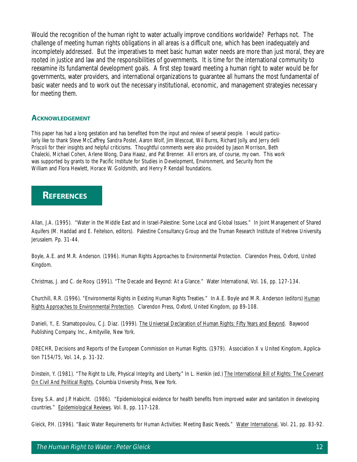Would the recognition of the human right to water actually improve conditions worldwide? Perhaps not. The challenge of meeting human rights obligations in all areas is a difficult one, which has been inadequately and incompletely addressed. But the imperatives to meet basic human water needs are more than just moral, they are rooted in justice and law and the responsibilities of governments. It is time for the international community to reexamine its fundamental development goals. A first step toward meeting a human right to water would be for governments, water providers, and international organizations to guarantee all humans the most fundamental of basic water needs and to work out the necessary institutional, economic, and management strategies necessary for meeting them.

#### ACKNOWLEDGEMENT

This paper has had a long gestation and has benefited from the input and review of several people. I would particularly like to thank Steve McCaffrey, Sandra Postel, Aaron Wolf, Jim Wescoat, Wil Burns, Richard Jolly, and Jerry delli Priscoli for their insights and helpful criticisms. Thoughtful comments were also provided by Jason Morrison, Beth Chalecki, Michael Cohen, Arlene Wong, Dana Haasz, and Pat Brenner. All errors are, of course, my own. This work was supported by grants to the Pacific Institute for Studies in Development, Environment, and Security from the William and Flora Hewlett, Horace W. Goldsmith, and Henry P. Kendall foundations.

## **REFERENCES**

Allan, J.A. (1995). "Water in the Middle East and in Israel-Palestine: Some Local and Global Issues." In Joint Management of Shared Aquifers (M. Haddad and E. Feitelson, editors). Palestine Consultancy Group and the Truman Research Institute of Hebrew University, Jerusalem. Pp. 31-44.

Boyle, A.E. and M.R. Anderson. (1996). Human Rights Approaches to Environmental Protection. Clarendon Press, Oxford, United Kingdom.

Christmas, J. and C. de Rooy. (1991). "The Decade and Beyond: At a Glance." Water International, Vol. 16, pp. 127-134.

Churchill, R.R. (1996). "Environmental Rights in Existing Human Rights Treaties." In A.E. Boyle and M.R. Anderson (editors) Human Rights Approaches to Environmental Protection. Clarendon Press, Oxford, United Kingdom, pp 89-108.

Danieli, Y., E. Stamatopoulou, C.J. Diaz. (1999). The Universal Declaration of Human Rights: Fifty Years and Beyond. Baywood Publishing Company, Inc., Amityville, New York.

DRECHR, Decisions and Reports of the European Commission on Human Rights. (1979). Association X v. United Kingdom, Application 7154/75, Vol. 14, p. 31-32.

Dinstein, Y. (1981). "The Right to Life, Physical Integrity, and Liberty." In L. Henkin (ed.) The International Bill of Rights: The Covenant On Civil And Political Rights, Columbia University Press, New York.

Esrey, S.A. and J.P. Habicht. (1986). "Epidemiological evidence for health benefits from improved water and sanitation in developing countries." Epidemiological Reviews. Vol. 8, pp. 117-128.

Gleick, P.H. (1996). "Basic Water Requirements for Human Activities: Meeting Basic Needs." Water International, Vol. 21, pp. 83-92.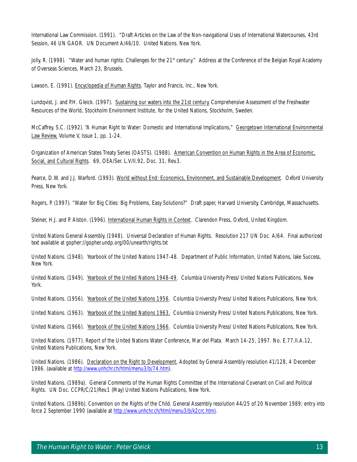International Law Commission. (1991). "Draft Articles on the Law of the Non-navigational Uses of International Watercourses, 43rd Session, 46 UN GAOR. UN Document A/46/10. United Nations. New York.

Jolly, R. (1998). "Water and human rights: Challenges for the 21<sup>st</sup> century." Address at the Conference of the Belgian Royal Academy of Overseas Sciences, March 23, Brussels.

Lawson, E. (1991). Encyclopedia of Human Rights. Taylor and Francis, Inc., New York.

Lundqvist, J. and P.H. Gleick. (1997). Sustaining our waters into the 21st century. Comprehensive Assessment of the Freshwater Resources of the World, Stockholm Environment Institute, for the United Nations, Stockholm, Sweden.

McCaffrey, S.C. (1992). "A Human Right to Water: Domestic and International Implications," Georgetown International Environmental Law Review, Volume V, Issue 1, pp. 1-24.

Organization of American States Treaty Series (OASTS). (1988). American Convention on Human Rights in the Area of Economic, Social, and Cultural Rights. 69, OEA/Ser. L.V/II.92, Doc. 31, Rev.3.

Pearce, D.W. and J.J. Warford. (1993). World without End: Economics, Environment, and Sustainable Development. Oxford University Press, New York.

Rogers, P. (1997). "Water for Big Cities: Big Problems, Easy Solutions?" Draft paper, Harvard University, Cambridge, Massachusetts.

Steiner, H.J. and P. Alston. (1996). International Human Rights in Context. Clarendon Press, Oxford, United Kingdom.

United Nations General Assembly. (1948). Universal Declaration of Human Rights. Resolution 217 UN Doc. A/64. Final authorized text available at gopher://gopher.undp.org/00/unearth/rights.txt

United Nations. (1948). Yearbook of the United Nations 1947-48. Department of Public Information, United Nations, lake Success, New York.

United Nations. (1949). Yearbook of the United Nations 1948-49. Columbia University Press/ United Nations Publications, New York.

United Nations. (1956). Yearbook of the United Nations 1956. Columbia University Press/ United Nations Publications, New York.

United Nations. (1963). Yearbook of the United Nations 1963. Columbia University Press/ United Nations Publications, New York.

United Nations. (1966). Yearbook of the United Nations 1966. Columbia University Press/ United Nations Publications, New York.

United Nations. (1977). Report of the United Nations Water Conference, Mar del Plata. March 14-25, 1997. No. E.77.II.A.12, United Nations Publications, New York.

United Nations. (1986). Declaration on the Right to Development, Adopted by General Assembly resolution 41/128, 4 December 1986. (available at http://www.unhchr.ch/html/menu3/b/74.htm).

United Nations. (1989a). General Comments of the Human Rights Committee of the International Covenant on Civil and Political Rights. UN Doc. CCPR/C/21/Rev.1 (May) United Nations Publications, New York.

United Nations. (1989b). Convention on the Rights of the Child. General Assembly resolution 44/25 of 20 November 1989; entry into force 2 September 1990 (available at http://www.unhchr.ch/html/menu3/b/k2crc.htm).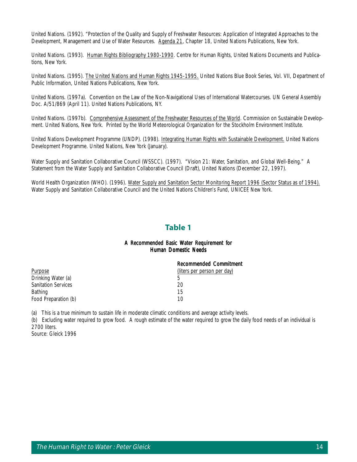United Nations. (1992). "Protection of the Quality and Supply of Freshwater Resources: Application of Integrated Approaches to the Development, Management and Use of Water Resources. Agenda 21, Chapter 18, United Nations Publications, New York.

United Nations. (1993). Human Rights Bibliography 1980-1990. Centre for Human Rights, United Nations Documents and Publications, New York.

United Nations. (1995). The United Nations and Human Rights 1945-1995. United Nations Blue Book Series, Vol. VII, Department of Public Information, United Nations Publications, New York.

United Nations. (1997a). Convention on the Law of the Non-Navigational Uses of International Watercourses. UN General Assembly Doc. A/51/869 (April 11). United Nations Publications, NY.

United Nations. (1997b). Comprehensive Assessment of the Freshwater Resources of the World. Commission on Sustainable Development. United Nations, New York. Printed by the World Meteorological Organization for the Stockholm Environment Institute.

United Nations Development Programme (UNDP). (1998). Integrating Human Rights with Sustainable Development. United Nations Development Programme. United Nations, New York (January).

Water Supply and Sanitation Collaborative Council (WSSCC). (1997). "Vision 21: Water, Sanitation, and Global Well-Being." A Statement from the Water Supply and Sanitation Collaborative Council (Draft), United Nations (December 22, 1997).

World Health Organization (WHO). (1996). Water Supply and Sanitation Sector Monitoring Report 1996 (Sector Status as of 1994). Water Supply and Sanitation Collaborative Council and the United Nations Children's Fund, UNICEF, New York.

### Table 1

#### A Recommended Basic Water Requirement for Human Domestic Needs

|                      | <b>Recommended Commitment</b><br>(liters per person per day) |  |  |
|----------------------|--------------------------------------------------------------|--|--|
| Purpose              |                                                              |  |  |
| Drinking Water (a)   | b                                                            |  |  |
| Sanitation Services  | 20                                                           |  |  |
| Bathing              | 15                                                           |  |  |
| Food Preparation (b) | 10                                                           |  |  |

(a) This is a true minimum to sustain life in moderate climatic conditions and average activity levels.

(b) Excluding water required to grow food. A rough estimate of the water required to grow the daily food needs of an individual is 2700 liters.

Source: Gleick 1996